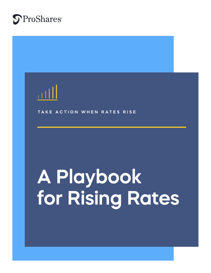

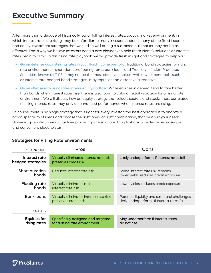## **Executive Summary**

After more than a decade of historically low or falling interest rates, today's market environment, in which interest rates are rising, may be unfamiliar to many investors. Indeed, many of the fixed income and equity investment strategies that worked so well during a sustained bull market may not be as effective. That's why we believe investors need a new playbook to help them identify solutions as interest rates begin to climb. In this rising rate playbook, we will provide fresh insight and strategies to help you:

- **• Go on defense against rising rates in your fixed income portfolio:** Traditional bond strategies for rising rate environments – short duration, floating rates, bank loans and Treasury Inflation-Protected Securities, known as TIPS – may not be the most effective choices, while investment tools, such as interest rate-hedged bond strategies, may represent an attractive alternative.
- **• Go on offense with rising rates in your equity portfolio:** While equities in general tend to fare better than bonds when interest rates rise, there is also room to tailor an equity strategy for a rising rate environment. We will discuss how an equity strategy that selects sectors and stocks most correlated to rising interest rates may provide enhanced performance when interest rates are rising.

Of course, there is no single strategy that is right for every investor; the best approach is to analyze a broad spectrum of ideas and choose the right ones, or right combination, that best suit your needs. However, given ProShares' large lineup of rising rate solutions, this playbook provides an easy, simple and convenient place to start.

| <b>FIXED INCOME</b>                 | <b>Pros</b>                                                         | Cons                                                                                          |
|-------------------------------------|---------------------------------------------------------------------|-----------------------------------------------------------------------------------------------|
| Interest rate<br>hedged strategies  | Virtually eliminates interest rate risk;<br>preserves credit risk   | Likely underperforms if interest rates fall                                                   |
| Short duration<br>bonds.            | Reduces interest rate risk                                          | Some interest rate risk remains.<br>lower yields, reduces credit exposure                     |
| Floating rate<br>bonds              | Virtually eliminates most<br>interest rate risk                     | Lower yields, reduces credit exposure                                                         |
| <b>Bank loans</b>                   | Virtually eliminates interest rate risk;<br>preserves credit risk   | Potential liquidity and structural challenges,<br>likely underperforms if interest rates fall |
| <b>EQUITIES</b>                     |                                                                     |                                                                                               |
| <b>Equities for</b><br>rising rates | Specifically designed and targeted<br>for a rising rate environment | May underperform if interest rates<br>do not rise                                             |

#### **Strategies for Rising Rate Environments**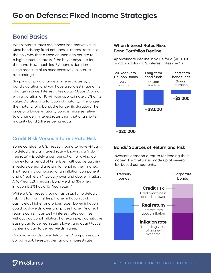## **Bond Basics**

When interest rates rise, bonds lose market value. Most bonds pay fixed coupons. If interest rates rise, the only way that a fixed coupon can equate to a higher interest rate is if the buyer pays less for the bond. How much less? A bond's duration is the measure of its price sensitivity to interest rate changes.

Simply multiply a change in interest rates by a bond's duration and you have a solid estimate of its change in price. Interest rates go up 50bps. A bond with a duration of 10 will lose approximately 5% of its value. Duration is a function of maturity. The longer the maturity of a bond, the longer its duration. The price of a longer-maturity bond is more sensitive to a change in interest rates than that of a shorter maturity bond (all else being equal).

## **Credit Risk Versus Interest Rate Risk**

Some consider a U.S. Treasury bond to have virtually no default risk. Its interest rate – known as a "riskfree rate" – is solely a compensation for giving up money for a period of time. Even without default risk, investors demand a return for lending their money. That return is composed of an inflation component and a "real return" typically over and above inflation. A 10-Year U.S. Treasury bond yielding 3% when inflation is 2% has a 1% "real return."

While a U.S. Treasury bond has virtually no default risk, it is far from riskless. Higher inflation could push yields higher and prices lower. Lower inflation could push yields lower and prices higher. And real returns can shift as well – interest rates can rise without additional inflation. For example, quantitative easing can force real returns lower, and quantitative tightening can force real yields higher.

Corporate bonds have default risk. Companies can go bankrupt. Investors demand an interest rate

### **When Interest Rates Rise, Bond Portfolios Decline**

Approximate decline in value for a \$100,000 bond portfolio if U.S. interest rates rise 1%.



### **Bonds' Sources of Return and Risk**

Investors demand a return for lending their money. That return is made up of several risk-based components.

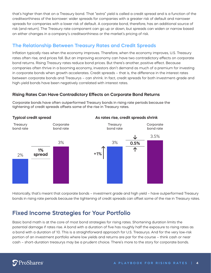that's higher than that on a Treasury bond. That "extra" yield is called a credit spread and is a function of the creditworthiness of the borrower: wider spreads for companies with a greater risk of default and narrower spreads for companies with a lower risk of default. A corporate bond, therefore, has an additional source of risk (and return). The Treasury rate component can go up or down, but spreads can widen or narrow based on either changes in a company's creditworthiness or the market's pricing of risk.

### **The Relationship Between Treasury Rates and Credit Spreads**

Inflation typically rises when the economy improves. Therefore, when the economy improves, U.S. Treasury rates often rise, and prices fall. But an improving economy can have two contradictory effects on corporate bond returns. Rising Treasury rates reduce bond prices. But there's another, positive effect. Because companies often thrive in a booming economy, investors don't demand as much of a premium for investing in corporate bonds when growth accelerates. Credit spreads – that is, the difference in the interest rates between corporate bonds and Treasurys – can shrink. In fact, credit spreads for both investment-grade and high-yield bonds have been negatively correlated with interest rates.

### **Rising Rates Can Have Contradictory Effects on Corporate Bond Returns**



Corporate bonds have often outperformed Treasury bonds in rising rate periods because the tightening of credit spreads offsets some of the rise in Treasury rates.

Historically, that's meant that corporate bonds – investment grade and high yield – have outperformed Treasury bonds in rising rate periods because the tightening of credit spreads can offset some of the rise in Treasury rates.

## **Fixed Income Strategies for Your Portfolio**

Basic bond math is at the core of most bond strategies for rising rates. Shortening duration limits the potential damage if rates rise. A bond with a duration of five has roughly half the exposure to rising rates as a bond with a duration of 10. This is a straightforward approach for U.S. Treasurys. And for the very low-risk portion of an investment portfolio where low yields and returns are par for the course – think cash or near cash – short-duration treasurys may be a prudent choice. There's more to the story for corporate bonds.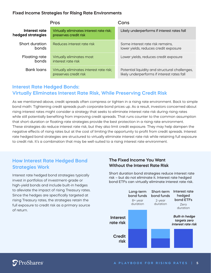#### **Fixed Income Strategies for Rising Rate Environments**

| <b>Pros</b>                        |                                                                   | Cons                                                                                          |
|------------------------------------|-------------------------------------------------------------------|-----------------------------------------------------------------------------------------------|
| Interest rate<br>hedged strategies | Virtually eliminates interest rate risk;<br>preserves credit risk | Likely underperforms if interest rates fall                                                   |
| Short duration<br>bonds            | Reduces interest rate risk                                        | Some interest rate risk remains,<br>lower yields, reduces credit exposure                     |
| <b>Floating rate</b><br>bonds      | Virtually eliminates most<br>interest rate risk                   | Lower yields, reduces credit exposure                                                         |
| <b>Bank loans</b>                  | Virtually eliminates interest rate risk;<br>preserves credit risk | Potential liquidity and structural challenges,<br>likely underperforms if interest rates fall |

## **Interest Rate Hedged Bonds: Virtually Eliminates Interest Rate Risk, While Preserving Credit Risk**

As we mentioned above, credit spreads often compress or tighten in a rising rate environment. Back to simple bond math: Tightening credit spreads push corporate bond prices up. As a result, investors concerned about rising interest rates might consider a strategy that seeks to eliminate interest rate risk during rising rates while still potentially benefiting from improving credit spreads. That runs counter to the common assumption that short-duration or floating-rate strategies provide the best protection in a rising rate environment. These strategies do reduce interest rate risk, but they also limit credit exposure. They may help dampen the negative effects of rising rates but at the cost of limiting the opportunity to profit from credit spreads. Interest rate hedged bond strategies are structured to virtually eliminate interest rate risk while retaining full exposure to credit risk. It's a combination that may be well-suited to a rising interest rate environment.

## **How Interest Rate Hedged Bond Strategies Work**

Interest rate hedged bond strategies typically invest in portfolios of investment-grade or high-yield bonds and include built-in hedges to alleviate the impact of rising Treasury rates. Since the hedges are specifically targeted at rising Treasury rates, the strategies retain the full exposure to credit risk as a primary source of return.

#### **The Fixed Income You Want Without the Interest Rate Risk**

Short duration bond strategies reduce interest rate risk – but do not eliminate it. Interest rate hedged bond ETFs can virtually eliminate interest rate risk.

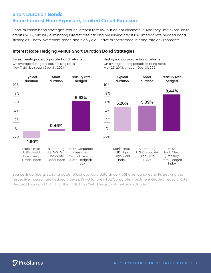## **Short Duration Bonds: Some Interest Rate Exposure, Limited Credit Exposure**

Short-duration bond strategies reduce interest rate risk but do not eliminate it. And they limit exposure to credit risk. By virtually eliminating interest rate risk and preserving credit risk, interest rate hedged bond strategies – both investment grade and high yield – have outperformed in rising rate environments.

High-yield corporate bond returns

#### **Interest Rate Hedging versus Short Duration Bond Strategies**

Investment-grade corporate bond returns

#### –2%  $\Omega$ 2% 4% 6% 8% –2% 0 2% 4% 6% 8% 10% 10% **–1.60%** On average during periods of rising rates, Nov. 7, 2013, through Dec. 31, 2021 On average during periods of rising rates, May 23, 2013, through Dec. 31, 2021 **0.49% 6.92% 5.26% Typical duration Treasury ratehedged Short duration Typical duration Treasury ratehedged Short duration 5.89% 8.44%** Markit iBoxx USD Liquid Investment Grade Index Bloomberg FTSE Corporate Investment Corporate Grade (Treasury Rate-Hedged) Index U.S. 1–5 Year Bond Index Markit iBoxx USD Liquid High Yield Index FTSE High Yield (Treasury Rate-Hedged Index Bloomberg U.S. Corporate High Yield Index

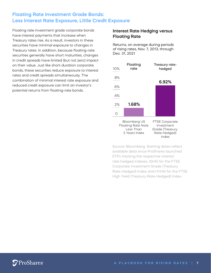## **Floating Rate Investment Grade Bonds: Less Interest Rate Exposure, Little Credit Exposure**

Floating rate investment grade corporate bonds have interest payments that increase when Treasury rates rise. As a result, investors in these securities have minimal exposure to changes in Treasury rates. In addition, because floating-rate securities generally have short maturities, changes in credit spreads have limited (but not zero) impact on their value. Just like short-duration corporate bonds, these securities reduce exposure to interest rates and credit spreads simultaneously. The combination of minimal interest rate exposure and reduced credit exposure can limit an investor's potential returns from floating-rate bonds.

### **Interest Rate Hedging versus Floating Rate**

Returns, on average during periods of rising rates, Nov. 7, 2013, through Dec. 31, 2021

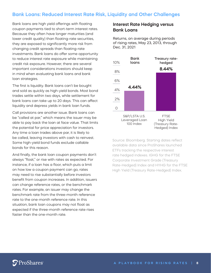### **Bank Loans: Reduced Interest Rate Risk, Liquidity and Other Challenges**

Bank loans are high yield offerings with floating coupon payments tied to short-term interest rates. Because they often have longer maturities (and lower credit quality) than floating-rate securities, they are exposed to significantly more risk from changing credit spreads than floating-rate investments. Bank loans do offer some opportunity to reduce interest rate exposure while maintaining credit risk exposure. However, there are several important considerations investors should keep in mind when evaluating bank loans and bank loan strategies.

The first is liquidity. Bank loans can't be bought and sold as quickly as high-yield bonds. Most bond trades settle within two days, while settlement for bank loans can take up to 20 days. This can affect liquidity and depress yields in bank loan funds.

Call provisions are another issue. Bank loans can be "called at par," which means the issuer may be able to pay back the loan at face value. That limits the potential for price appreciation for investors. Any time a loan trades above par, it is likely to be called, leaving investors with cash to reinvest. Some high-yield bond funds exclude callable bonds for this reason.

And finally, the bank loan coupon payments don't always "float," or rise with rates as expected. For instance, if a loan has a floor, which puts a limit on how low a coupon payment can go, rates may need to rise substantially before investors benefit from coupon increases. In addition, issuers can change reference rates, or the benchmark rates. For example, an issuer may change the benchmark rate from the three-month reference rate to the one-month reference rate. In this situation, bank loan coupons may not float as expected if the three-month reference rate rises faster than the one-month rate.

#### **Interest Rate Hedging versus Bank Loans**

Returns, on average during periods of rising rates, May 23, 2013, through Dec. 31, 2021

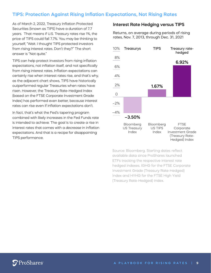### **TIPS: Protection Against Rising Inflation Expectations, Not Rising Rates**

As of March 2, 2022, Treasury Inflation Protected Securities (known as TIPS) have a duration of 7.7 years. That means if U.S. Treasury rates rise 1%, the price of TIPS could fall 7.7%. You may be thinking to yourself, "Wait. I thought TIPS protected investors from rising interest rates. Don't they?" The short answer is "Not quite."

TIPS can help protect investors from rising inflation expectations, not inflation itself, and not specifically from rising interest rates. Inflation expectations can certainly rise when interest rates rise, and that's why, as the adjacent chart shows, TIPS have historically outperformed regular Treasuries when rates have risen. However, the Treasury Rate-Hedged Index (based on the FTSE Corporate Investment Grade Index) has performed even better, because interest rates can rise even if inflation expectations don't.

In fact, that's what the Fed's tapering program combined with likely increases in the Fed Funds rate is intended to achieve. The goal is to create a rise in interest rates that comes with a *decrease* in inflation expectations. And that is a recipe for disappointing TIPS performance.

#### **Interest Rate Hedging versus TIPS**

Returns, on average during periods of rising rates, Nov. 7, 2013, through Dec. 31, 2021

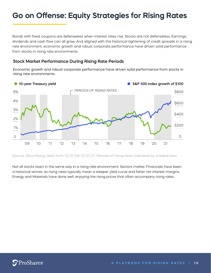## **Go on Offense: Equity Strategies for Rising Rates**

Bonds with fixed coupons are defenseless when interest rates rise. Stocks are not defenseless. Earnings, dividends and cash flow can all grow. And aligned with the historical tightening of credit spreads in a rising rate environment, economic growth and robust corporate performance have driven solid performance from stocks in rising rate environments.

#### **Stock Market Performance During Rising Rate Periods**

Economic growth and robust corporate performance have driven solid performance from stocks in rising rate environments.



Source: Bloomberg, data from 12/31/08-12/31/21. Periods of rising rates indicated by shaded bars.

Not all stocks react in the same way in a rising rate environment. Sectors matter. Financials have been a historical winner, as rising rates typically mean a steeper yield curve and fatter net interest margins. Energy and Materials have done well, enjoying the rising prices that often accompany rising rates.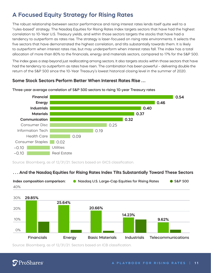## **A Focused Equity Strategy for Rising Rates**

The robust relationship between sector performance and rising interest rates lends itself quite well to a "rules-based" strategy. The Nasdaq Equities for Rising Rates Index targets sectors that have had the highest correlation to 10-Year U.S. Treasury yields, and within those sectors targets the stocks that have had a tendency to outperform as rates rise. The strategy is laser-focused on rising rate environments. It selects the five sectors that have demonstrated the highest correlation, and tilts substantially towards them. It is likely to outperform when interest rates rise, but may underperform when interest rates fall. The index has a total allocation of more than 80% to the financials, energy and materials sectors, compared to 17% for the S&P 500.

The index goes a step beyond just reallocating among sectors. It also targets stocks within those sectors that have had the tendency to outperform as rates have risen. The combination has been powerful – delivering double the return of the S&P 500 since the 10-Year Treasury's lowest historical closing level in the summer of 2020.

#### **Some Stock Sectors Perform Better When Interest Rates Rise . . .**



#### Three-year average correlation of S&P 500 sectors to rising 10-year Treasury rates

Source: Bloomberg, as of 12/31/21. Sectors based on GICS classification.

#### **. . . And the Nasdaq Equities for Rising Rates Index Tilts Substantially Toward These Sectors**



Source: Bloomberg, as of 12/31/21. Sectors based on ICB classification.

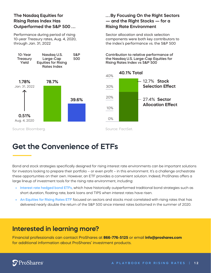### **The Nasdaq Equities for Rising Rates Index Has Outperformed the S&P 500 . . .**

Performance during period of rising 10-year Treasury rates, Aug. 4, 2020, through Jan. 31, 2022



### **. . . By Focusing On the Right Sectors — and the Right Stocks — for a Rising Rate Environment**

Sector allocation and stock selection components were both key contributors to the index's performance vs. the S&P 500

Contribution to relative performance of the Nasdaq U.S. Large-Cap Equities for Rising Rates Index vs S&P 500



Source: Bloomberg. The Source: FactSet.

# **Get the Convenience of ETFs**

Bond and stock strategies specifically designed for rising interest rate environments can be important solutions for investors looking to prepare their portfolio – or even profit – in this environment. It's a challenge orchestrate these opportunities on their own. However, an ETF provides a convenient solution. Indeed, ProShares offers a large lineup of investment tools for the rising rate environment, including:

- **• Interest rate hedged bond ETFs**, which have historically outperformed traditional bond strategies such as short duration, floating rate, bank loans and TIPS when interest rates have risen.
- **• An Equities for Rising Rates ETF** focused on sectors and stocks most correlated with rising rates that has delivered nearly double the return of the S&P 500 since interest rates bottomed in the summer of 2020.

## **Interested in learning more?**

Financial professionals can contact ProShares at **866-776-5125** or email **info@proshares.com** for additional information about ProShares' investment products.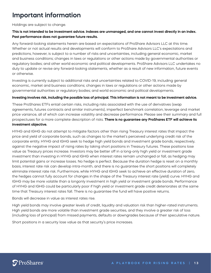## **Important information**

#### Holdings are subject to change.

#### **This is not intended to be investment advice. Indexes are unmanaged, and one cannot invest directly in an index. Past performance does not guarantee future results.**

Any forward-looking statements herein are based on expectations of ProShare Advisors LLC at this time. Whether or not actual results and developments will conform to ProShare Advisors LLC's expectations and predictions, however, is subject to a number of risks and uncertainties, including general economic, market and business conditions; changes in laws or regulations or other actions made by governmental authorities or regulatory bodies; and other world economic and political developments. ProShare Advisors LLC undertakes no duty to update or revise any forward-looking statements, whether as a result of new information, future events or otherwise.

Investing is currently subject to additional risks and uncertainties related to COVID-19, including general economic, market and business conditions; changes in laws or regulations or other actions made by governmental authorities or regulatory bodies; and world economic and political developments.

#### **Investing involves risk, including the possible loss of principal. This information is not meant to be investment advice.**

These ProShares ETFs entail certain risks, including risks associated with the use of derivatives (swap agreements, futures contracts and similar instruments), imperfect benchmark correlation, leverage and market price variance, all of which can increase volatility and decrease performance. Please see their summary and full prospectuses for a more complete description of risks. **There is no guarantee any ProShares ETF will achieve its investment objective.**

HYHG and IGHG do not attempt to mitigate factors other than rising Treasury interest rates that impact the price and yield of corporate bonds, such as changes to the market's perceived underlying credit risk of the corporate entity. HYHG and IGHG seek to hedge high yield bonds and investment grade bonds, respectively, against the negative impact of rising rates by taking short positions in Treasury futures. These positions lose value as Treasury prices increase. Investors may be better off in a long-only high yield or investment grade investment than investing in HYHG and IGHG when interest rates remain unchanged or fall, as hedging may limit potential gains or increase losses. No hedge is perfect. Because the duration hedge is reset on a monthly basis, interest rate risk can develop intra-month, and there is no guarantee the short positions will completely eliminate interest rate risk. Furthermore, while HYHG and IGHG seek to achieve an effective duration of zero, the hedges cannot fully account for changes in the shape of the Treasury interest rate (yield) curve. HYHG and IGHG may be more volatile than a longonly investment in high yield or investment grade bonds. Performance of HYHG and IGHG could be particularly poor if high yield or investment grade credit deteriorates at the same time that Treasury interest rates fall. There is no guarantee the fund will have positive returns.

#### Bonds will decrease in value as interest rates rise.

High yield bonds may involve greater levels of credit, liquidity and valuation risk than higher-rated instruments. High yield bonds are more volatile than investment grade securities, and they involve a greater risk of loss (including loss of principal) from missed payments, defaults or downgrades because of their speculative nature.

Short positions in a security lose value as that security's price increases.